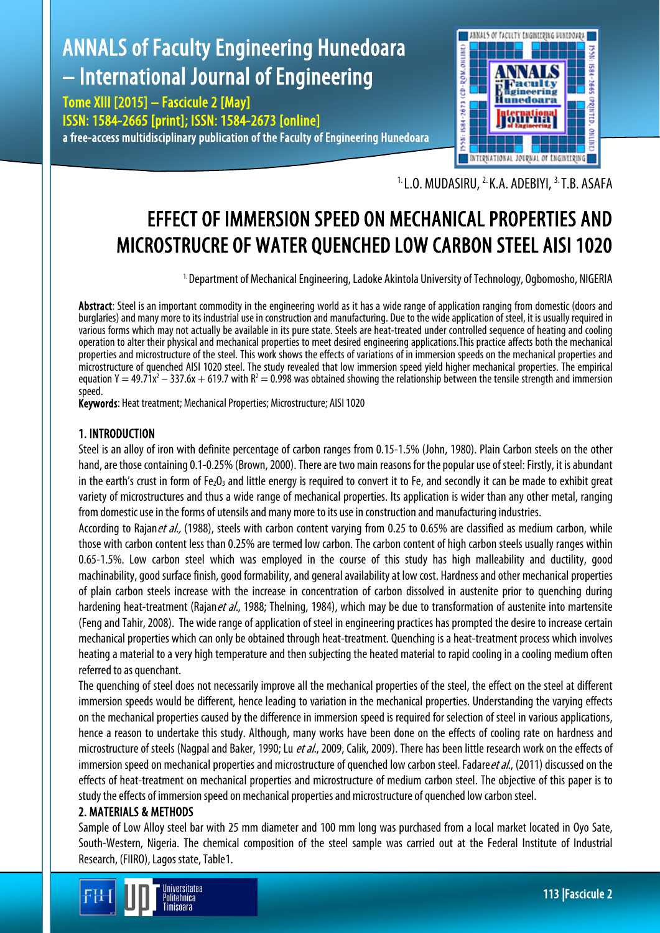# ANNALS of Faculty Engineering Hunedoara – International Journal of Engineering

Tome XIII [2015] – Fascicule 2 [May] ISSN: 1584-2665 [print]; ISSN: 1584-2673 [online] a free-access multidisciplinary publication of the Faculty of Engineering Hunedoara



 $1.$  L.O. MUDASIRU,  $2.$  K.A. ADEBIYI,  $3.$  T.B. ASAFA

## EFFECT OF IMMERSION SPEED ON MECHANICAL PROPERTIES AND MICROSTRUCRE OF WATER QUENCHED LOW CARBON STEEL AISI 1020

<sup>1.</sup> Department of Mechanical Engineering, Ladoke Akintola University of Technology, Ogbomosho, NIGERIA

Abstract: Steel is an important commodity in the engineering world as it has a wide range of application ranging from domestic (doors and burglaries) and many more to its industrial use in construction and manufacturing. Due to the wide application of steel, it is usually required in various forms which may not actually be available in its pure state. Steels are heat-treated under controlled sequence of heating and cooling operation to alter their physical and mechanical properties to meet desired engineering applications.This practice affects both the mechanical properties and microstructure of the steel. This work shows the effects of variations of in immersion speeds on the mechanical properties and microstructure of quenched AISI 1020 steel. The study revealed that low immersion speed yield higher mechanical properties. The empirical equation Y = 49.71 $x^2$  – 337.6x + 619.7 with R<sup>2</sup> = 0.998 was obtained showing the relationship between the tensile strength and immersion speed.

Keywords: Heat treatment; Mechanical Properties; Microstructure; AISI 1020

### 1. INTRODUCTION

Steel is an alloy of iron with definite percentage of carbon ranges from 0.15-1.5% (John, 1980). Plain Carbon steels on the other hand, are those containing 0.1-0.25% (Brown, 2000). There are two main reasons for the popular use of steel: Firstly, it is abundant in the earth's crust in form of Fe $0_3$  and little energy is required to convert it to Fe, and secondly it can be made to exhibit great variety of microstructures and thus a wide range of mechanical properties. Its application is wider than any other metal, ranging from domestic use in the forms of utensils and many more to its use in construction and manufacturing industries.

According to Rajan*et al.*, (1988), steels with carbon content varying from 0.25 to 0.65% are classified as medium carbon, while those with carbon content less than 0.25% are termed low carbon. The carbon content of high carbon steels usually ranges within 0.65-1.5%. Low carbon steel which was employed in the course of this study has high malleability and ductility, good machinability, good surface finish, good formability, and general availability at low cost. Hardness and other mechanical properties of plain carbon steels increase with the increase in concentration of carbon dissolved in austenite prior to quenching during hardening heat-treatment (Rajanet al., 1988; Thelning, 1984), which may be due to transformation of austenite into martensite (Feng and Tahir, 2008). The wide range of application of steel in engineering practices has prompted the desire to increase certain mechanical properties which can only be obtained through heat-treatment. Quenching is a heat-treatment process which involves heating a material to a very high temperature and then subjecting the heated material to rapid cooling in a cooling medium often referred to as quenchant.

The quenching of steel does not necessarily improve all the mechanical properties of the steel, the effect on the steel at different immersion speeds would be different, hence leading to variation in the mechanical properties. Understanding the varying effects on the mechanical properties caused by the difference in immersion speed is required for selection of steel in various applications, hence a reason to undertake this study. Although, many works have been done on the effects of cooling rate on hardness and microstructure of steels (Nagpal and Baker, 1990; Lu et al., 2009, Calik, 2009). There has been little research work on the effects of immersion speed on mechanical properties and microstructure of quenched low carbon steel. Fadare et al., (2011) discussed on the effects of heat-treatment on mechanical properties and microstructure of medium carbon steel. The objective of this paper is to study the effects of immersion speed on mechanical properties and microstructure of quenched low carbon steel.

#### 2. MATERIALS & METHODS

Sample of Low Alloy steel bar with 25 mm diameter and 100 mm long was purchased from a local market located in Oyo Sate, South-Western, Nigeria. The chemical composition of the steel sample was carried out at the Federal Institute of Industrial Research, (FIIRO), Lagos state, Table1.

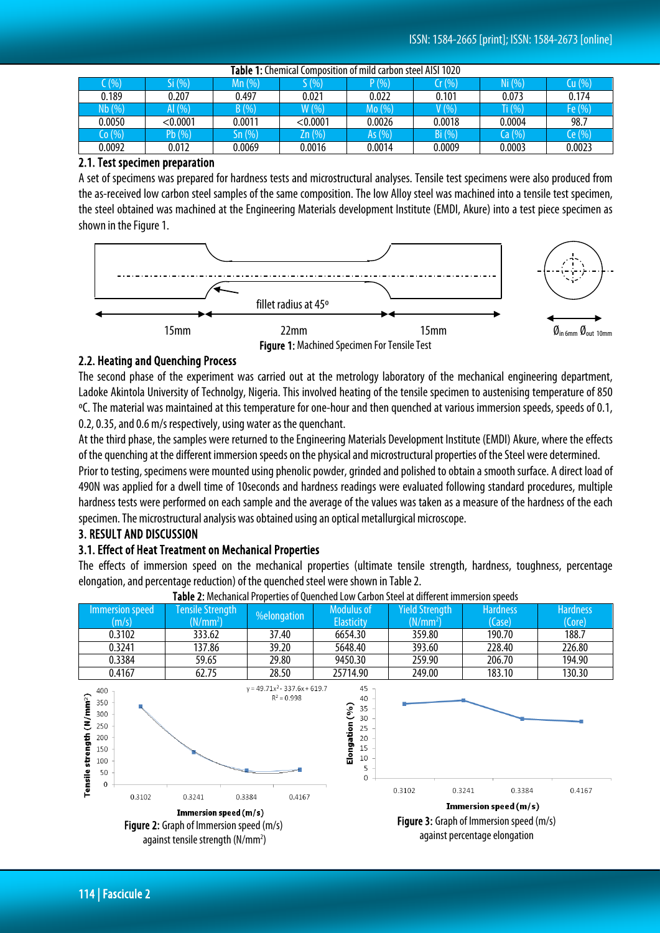| Table 1: Chemical Composition of mild carbon steel AISI 1020 |          |        |                 |        |        |                            |        |
|--------------------------------------------------------------|----------|--------|-----------------|--------|--------|----------------------------|--------|
| (%)                                                          | Si (%)   | Mn(%)  | 5(%)            | P (%)  | Cr(%)  | Ni (%)                     | Cu (%) |
| 0.189                                                        | 0.207    | 0.497  | 0.021           | 0.022  | 0.101  | 0.073                      | 0.174  |
| Nb (%)                                                       | AI (%)   | B(%)   | W(%)            | Mo(%)  | V(%)   | $\overline{\text{I}i}$ (%) | Fe (%) |
| 0.0050                                                       | < 0.0001 | 0.0011 | $<$ 0.0001 $\,$ | 0.0026 | 0.0018 | 0.0004                     | 98.7   |
| Co(%)                                                        | Pb (%)   | Sn(%)  | Zn (%),         | As (%) | Bi(%)  | Ca (%)                     | Ce(%)  |
| 0.0092                                                       | 0.012    | 0.0069 | 0.0016          | 0.0014 | 0.0009 | 0.0003                     | 0.0023 |

#### 2.1. Test specimen preparation

A set of specimens was prepared for hardness tests and microstructural analyses. Tensile test specimens were also produced from the as-received low carbon steel samples of the same composition. The low Alloy steel was machined into a tensile test specimen, the steel obtained was machined at the Engineering Materials development Institute (EMDI, Akure) into a test piece specimen as shown in the Figure 1.



### 2.2. Heating and Quenching Process

The second phase of the experiment was carried out at the metrology laboratory of the mechanical engineering department, Ladoke Akintola University of Technolgy, Nigeria. This involved heating of the tensile specimen to austenising temperature of 850 ºC. The material was maintained at this temperature for one-hour and then quenched at various immersion speeds, speeds of 0.1, 0.2, 0.35, and 0.6 m/s respectively, using water as the quenchant.

At the third phase, the samples were returned to the Engineering Materials Development Institute (EMDI) Akure, where the effects of the quenching at the different immersion speeds on the physical and microstructural properties of the Steel were determined.

Prior to testing, specimens were mounted using phenolic powder, grinded and polished to obtain a smooth surface. A direct load of 490N was applied for a dwell time of 10seconds and hardness readings were evaluated following standard procedures, multiple hardness tests were performed on each sample and the average of the values was taken as a measure of the hardness of the each specimen. The microstructural analysis was obtained using an optical metallurgical microscope.

#### 3. RESULT AND DISCUSSION

#### 3.1. Effect of Heat Treatment on Mechanical Properties

The effects of immersion speed on the mechanical properties (ultimate tensile strength, hardness, toughness, percentage elongation, and percentage reduction) of the quenched steel were shown in Table 2.



Table 2: Mechanical Properties of Quenched Low Carbon Steel at different immersion speeds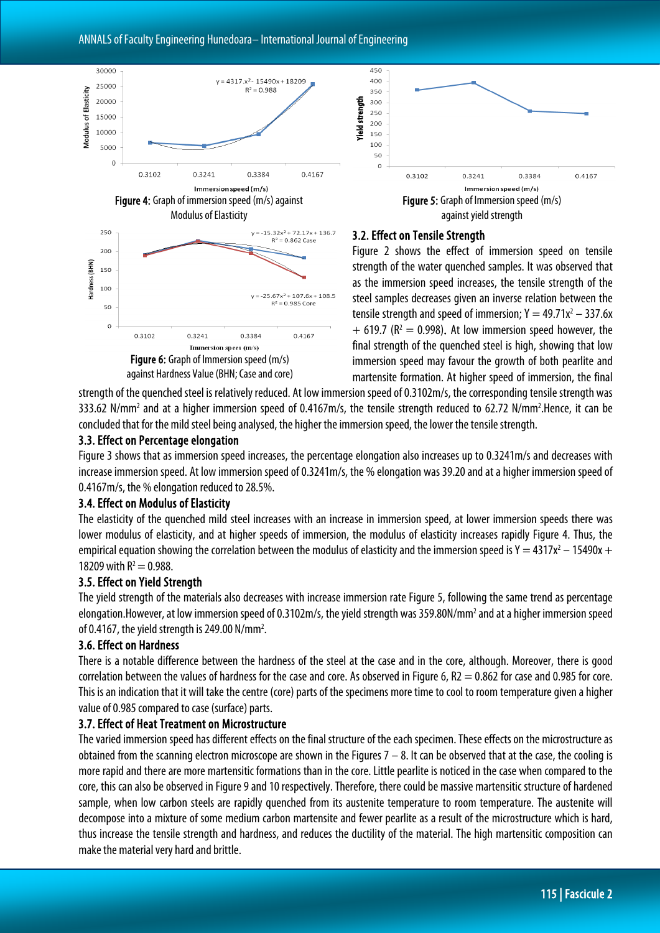



#### 3.2. Effect on Tensile Strength

Figure 2 shows the effect of immersion speed on tensile strength of the water quenched samples. It was observed that as the immersion speed increases, the tensile strength of the steel samples decreases given an inverse relation between the tensile strength and speed of immersion:  $Y = 49.71x^2 - 337.6x$  $+$  619.7 (R<sup>2</sup> = 0.998). At low immersion speed however, the final strength of the quenched steel is high, showing that low immersion speed may favour the growth of both pearlite and martensite formation. At higher speed of immersion, the final

strength of the quenched steel is relatively reduced. At low immersion speed of 0.3102m/s, the corresponding tensile strength was 333.62 N/mm<sup>2</sup> and at a higher immersion speed of 0.4167m/s, the tensile strength reduced to 62.72 N/mm<sup>2</sup>.Hence, it can be concluded that for the mild steel being analysed, the higher the immersion speed, the lower the tensile strength.

#### 3.3. Effect on Percentage elongation

Figure 3 shows that as immersion speed increases, the percentage elongation also increases up to 0.3241m/s and decreases with increase immersion speed. At low immersion speed of 0.3241m/s, the % elongation was 39.20 and at a higher immersion speed of 0.4167m/s, the % elongation reduced to 28.5%.

#### 3.4. Effect on Modulus of Elasticity

The elasticity of the quenched mild steel increases with an increase in immersion speed, at lower immersion speeds there was lower modulus of elasticity, and at higher speeds of immersion, the modulus of elasticity increases rapidly Figure 4. Thus, the empirical equation showing the correlation between the modulus of elasticity and the immersion speed is  $Y = 4317x^2 - 15490x +$ 18209 with  $R^2 = 0.988$ .

#### 3.5. Effect on Yield Strength

The yield strength of the materials also decreases with increase immersion rate Figure 5, following the same trend as percentage elongation.However, at low immersion speed of 0.3102m/s, the yield strength was 359.80N/mm2 and at a higher immersion speed of 0.4167, the yield strength is 249.00 N/mm2 .

#### 3.6. Effect on Hardness

There is a notable difference between the hardness of the steel at the case and in the core, although. Moreover, there is good correlation between the values of hardness for the case and core. As observed in Figure 6,  $R2 = 0.862$  for case and 0.985 for core. This is an indication that it will take the centre (core) parts of the specimens more time to cool to room temperature given a higher value of 0.985 compared to case (surface) parts.

#### 3.7. Effect of Heat Treatment on Microstructure

The varied immersion speed has different effects on the final structure of the each specimen. These effects on the microstructure as obtained from the scanning electron microscope are shown in the Figures  $7 - 8$ . It can be observed that at the case, the cooling is more rapid and there are more martensitic formations than in the core. Little pearlite is noticed in the case when compared to the core, this can also be observed in Figure 9 and 10 respectively. Therefore, there could be massive martensitic structure of hardened sample, when low carbon steels are rapidly quenched from its austenite temperature to room temperature. The austenite will decompose into a mixture of some medium carbon martensite and fewer pearlite as a result of the microstructure which is hard, thus increase the tensile strength and hardness, and reduces the ductility of the material. The high martensitic composition can make the material very hard and brittle.